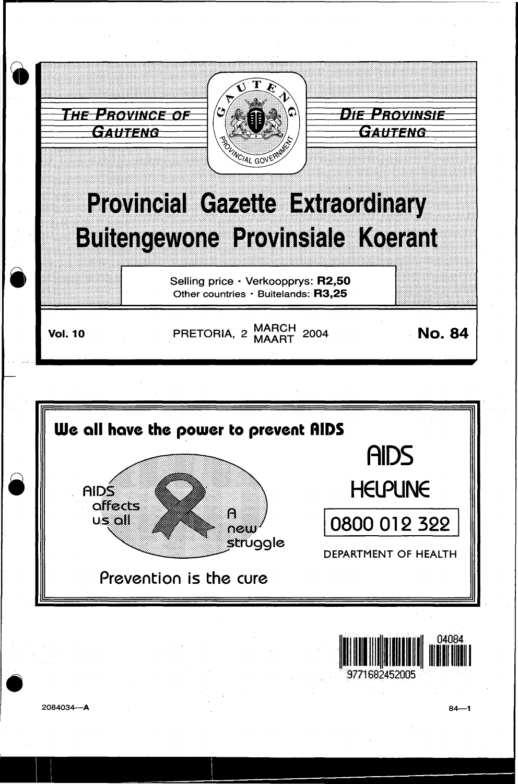



2084034-A

 $84 - 1$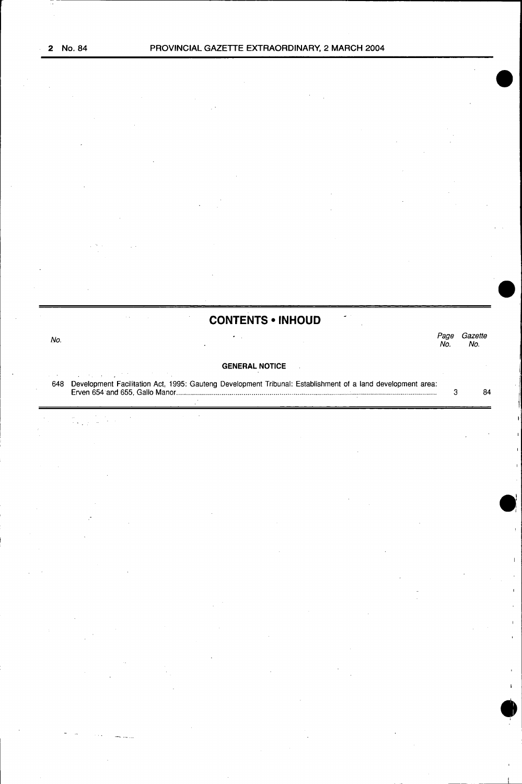## **CONTENTS • INHOUD**

| No. |                                                                                                             | No | Gazette<br>No. |
|-----|-------------------------------------------------------------------------------------------------------------|----|----------------|
|     | <b>GENERAL NOTICE</b>                                                                                       |    |                |
| 648 | Development Facilitation Act, 1995: Gauteng Development Tribunal: Establishment of a land development area: |    | 84             |

**•**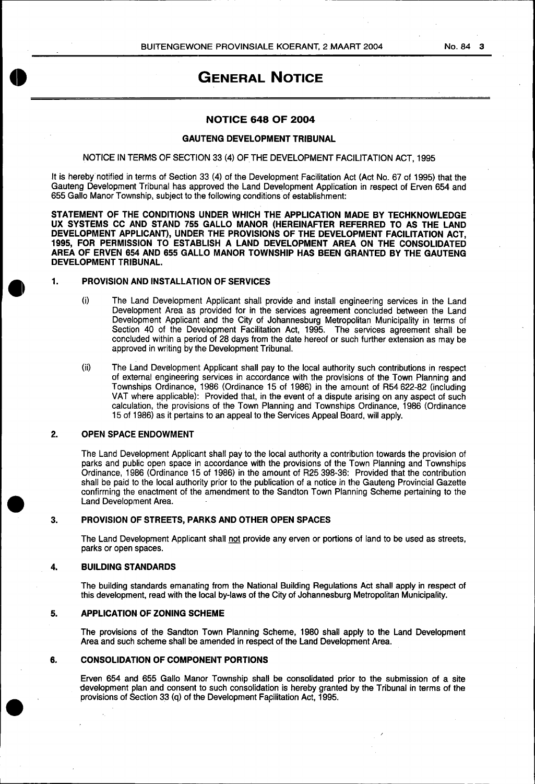#### No. 84 **3**

# **'GENERAL NOTICE**

#### **NOTICE 648 OF 2004**

#### **GAUTENG DEVELOPMENT TRIBUNAL**

#### NOTICE IN TERMS OF SECTION 33 (4) OFTHE DEVELOPMENT FACILITATION ACT, 1995

It is hereby notified in terms of Section 33 (4) of the Development Facilitation Act (Act No. 67 of 1995) that the Gauteng Development Tribunal has approved the Land Development Application in respect of Erven 654 and 655 Gallo Manor Township, subject to the following conditions of establishment:

**STATEMENT OF THE CONDITIONS UNDER WHICH THE APPLICATION MADE BY TECHKNOWLEDGE UX SYSTEMS CC AND STAND 755 GALLO MANOR (HEREINAFTER REFERRED TO AS THE LAND DEVELOPMENT APPLICANT), UNDER THE PROVISIONS OF THE DEVELOPMENT FACILITATION ACT, 1995, FOR PERMISSION TO ESTABLISH A LAND DEVELOPMENT AREA ON THE CONSOLIDATED AREA OF ERVEN 654 AND 655 GALLO MANOR TOWNSHIP HAS BEEN GRANTED BY THE GAUTENG DEVELOPMENT TRIBUNAL.** 

#### **1. PROVISION AND INSTALLATION OF SERVICES**

- (i) The Land Development Applicant shall provide and install engineering services in the Land Development Area as provided for in the services agreement concluded between the Land Development Applicant and the City of Johannesburg Metropolitan Municipality in terms of Section 40 of the Development Facilitation Act, 1995. The services agreement shall be concluded within a period of 28 days from the date hereof or such further extension as may be approved in writing by the Development Tribunal.
- (ii) The Land Development Applicant shall pay to the local authority such contributions in respect of external engineering services in accordance with the provisions of the Town Planning and Townships Ordinance, 1986 (Ordinance 15 of 1986) in the amount of R54 622-82 (including VAT where applicable): Provided that, in the event of a dispute arising on any aspect of such calculation, the provisions of the Town Planning and Townships Ordinance, 1986 (Ordinance 15 of 1986) as it pertains to an appeal to the Services Appeal Board, will apply.

#### **2. OPEN SPACE ENDOWMENT**

The Land Development Applicant shall pay to the local authority a contribution towards the provision of parks and public open space in accordance with the provisions of the Town Planning and Townships Ordinance, 1986 (Ordinance 15 of 1986) in the amount of R25 398-36: Provided that the contribution shall be paid to the local authority prior to the publication of a notice in the Gauteng Provincial Gazette confirming the enactment of the amendment to the Sandton Town Planning Scheme pertaining to the Land Development Area.

#### **3. PROVISION OF STREETS, PARKS AND OTHER OPEN SPACES**

The Land Development Applicant shall not provide any erven or portions of land to be used as streets, parks or open spaces.

#### **4. BUILDING STANDARDS**

The building standards emanating from the National Building Regulations Act shall apply in respect of this development, read with the local by-laws of the City of Johannesburg Metropolitan Municipality.

#### **5. APPLICATION OF ZONING SCHEME**

The provisions of the Sandton Town Planning Scheme, 1980 shall apply to the Land Development Area and such scheme shall be amended in respect of the Land Development Area.

#### **6. CONSOLIDATION OF COMPONENT PORTIONS**

Erven 654 and 655 Gallo Manor Township shall be consolidated prior to the submission of a site development plan and consent to such consolidation is hereby granted by the Tribunal in terms of the provisions of Section 33 (q) of the Development Facilitation Act, 1995.